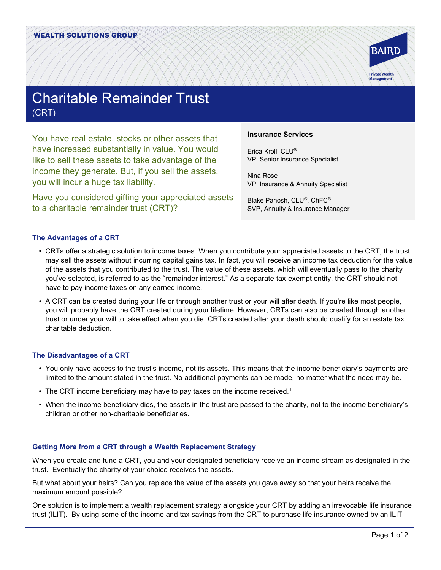

# Charitable Remainder Trust (CRT)

You have real estate, stocks or other assets that have increased substantially in value. You would like to sell these assets to take advantage of the income they generate. But, if you sell the assets, you will incur a huge tax liability.

Have you considered gifting your appreciated assets to a charitable remainder trust (CRT)?

## **Insurance Services**

Erica Kroll, CLU® VP, Senior Insurance Specialist

Nina Rose VP, Insurance & Annuity Specialist

Blake Panosh, CLU®, ChFC® SVP, Annuity & Insurance Manager

## **The Advantages of a CRT**

- CRTs offer a strategic solution to income taxes. When you contribute your appreciated assets to the CRT, the trust may sell the assets without incurring capital gains tax. In fact, you will receive an income tax deduction for the value of the assets that you contributed to the trust. The value of these assets, which will eventually pass to the charity you've selected, is referred to as the "remainder interest." As a separate tax-exempt entity, the CRT should not have to pay income taxes on any earned income.
- A CRT can be created during your life or through another trust or your will after death. If you're like most people, you will probably have the CRT created during your lifetime. However, CRTs can also be created through another trust or under your will to take effect when you die. CRTs created after your death should qualify for an estate tax charitable deduction.

#### **The Disadvantages of a CRT**

- You only have access to the trust's income, not its assets. This means that the income beneficiary's payments are limited to the amount stated in the trust. No additional payments can be made, no matter what the need may be.
- The CRT income beneficiary may have to pay taxes on the income received.<sup>1</sup>
- When the income beneficiary dies, the assets in the trust are passed to the charity, not to the income beneficiary's children or other non-charitable beneficiaries.

#### **Getting More from a CRT through a Wealth Replacement Strategy**

When you create and fund a CRT, you and your designated beneficiary receive an income stream as designated in the trust. Eventually the charity of your choice receives the assets.

But what about your heirs? Can you replace the value of the assets you gave away so that your heirs receive the maximum amount possible?

One solution is to implement a wealth replacement strategy alongside your CRT by adding an irrevocable life insurance trust (ILIT). By using some of the income and tax savings from the CRT to purchase life insurance owned by an ILIT